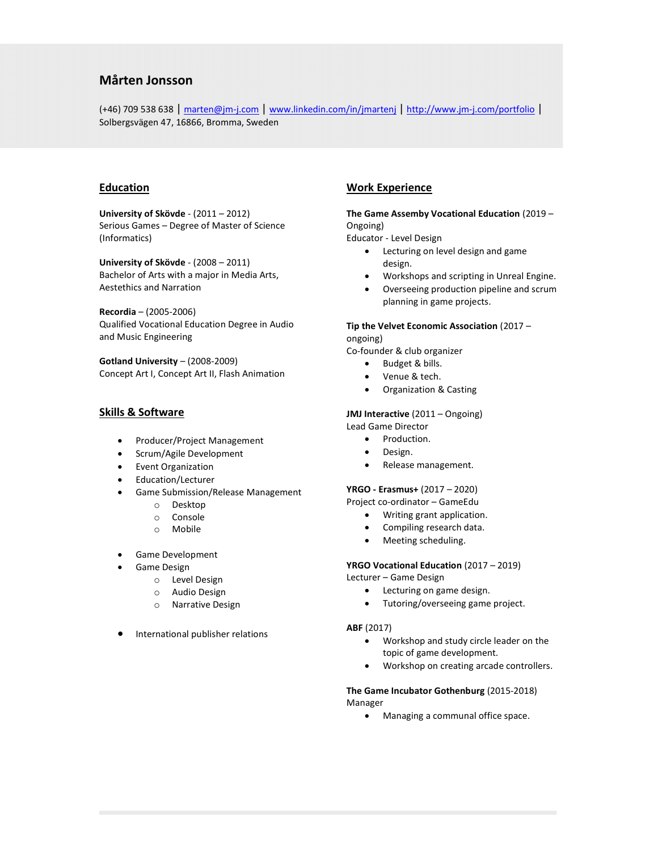# Mårten Jonsson

(+46) 709 538 638 | marten@jm-j.com | www.linkedin.com/in/jmartenj | http://www.jm-j.com/portfolio | Solbergsvägen 47, 16866, Bromma, Sweden

# **Education**

University of Skövde - (2011 – 2012) Serious Games – Degree of Master of Science (Informatics)

University of Skövde - (2008 – 2011) Bachelor of Arts with a major in Media Arts, Aestethics and Narration

Recordia – (2005-2006) Qualified Vocational Education Degree in Audio and Music Engineering

Gotland University – (2008-2009) Concept Art I, Concept Art II, Flash Animation

# Skills & Software

- Producer/Project Management
- Scrum/Agile Development
- Event Organization
- Education/Lecturer
- Game Submission/Release Management
	- o Desktop
	- o Console
	- o Mobile
- Game Development
- Game Design
	- o Level Design
	- o Audio Design
	- o Narrative Design
- International publisher relations

# Work Experience

## The Game Assemby Vocational Education (2019 – Ongoing)

Educator - Level Design

- Lecturing on level design and game design.
- Workshops and scripting in Unreal Engine.
- Overseeing production pipeline and scrum planning in game projects.

## Tip the Velvet Economic Association (2017 –

ongoing) Co-founder & club organizer

- Budget & bills.
- Venue & tech.
- Organization & Casting

JMJ Interactive (2011 – Ongoing) Lead Game Director

- Production.
- 
- Design.
- Release management.

#### YRGO - Erasmus+ (2017 – 2020)

Project co-ordinator – GameEdu

- Writing grant application.
- Compiling research data.
- Meeting scheduling.

YRGO Vocational Education (2017 – 2019)

Lecturer – Game Design

- Lecturing on game design.
- Tutoring/overseeing game project.

#### ABF (2017)

- Workshop and study circle leader on the topic of game development.
- Workshop on creating arcade controllers.

The Game Incubator Gothenburg (2015-2018) Manager

Managing a communal office space.